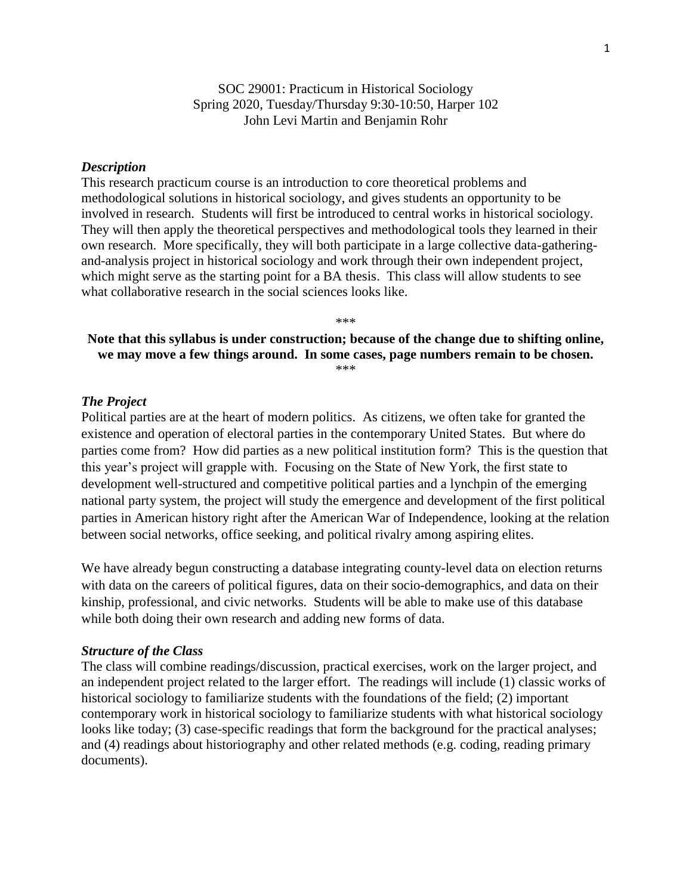## SOC 29001: Practicum in Historical Sociology Spring 2020, Tuesday/Thursday 9:30-10:50, Harper 102 John Levi Martin and Benjamin Rohr

### *Description*

This research practicum course is an introduction to core theoretical problems and methodological solutions in historical sociology, and gives students an opportunity to be involved in research. Students will first be introduced to central works in historical sociology. They will then apply the theoretical perspectives and methodological tools they learned in their own research. More specifically, they will both participate in a large collective data-gatheringand-analysis project in historical sociology and work through their own independent project, which might serve as the starting point for a BA thesis. This class will allow students to see what collaborative research in the social sciences looks like.

### **Note that this syllabus is under construction; because of the change due to shifting online, we may move a few things around. In some cases, page numbers remain to be chosen.** \*\*\*

\*\*\*

### *The Project*

Political parties are at the heart of modern politics. As citizens, we often take for granted the existence and operation of electoral parties in the contemporary United States. But where do parties come from? How did parties as a new political institution form? This is the question that this year's project will grapple with. Focusing on the State of New York, the first state to development well-structured and competitive political parties and a lynchpin of the emerging national party system, the project will study the emergence and development of the first political parties in American history right after the American War of Independence, looking at the relation between social networks, office seeking, and political rivalry among aspiring elites.

We have already begun constructing a database integrating county-level data on election returns with data on the careers of political figures, data on their socio-demographics, and data on their kinship, professional, and civic networks. Students will be able to make use of this database while both doing their own research and adding new forms of data.

#### *Structure of the Class*

The class will combine readings/discussion, practical exercises, work on the larger project, and an independent project related to the larger effort. The readings will include (1) classic works of historical sociology to familiarize students with the foundations of the field; (2) important contemporary work in historical sociology to familiarize students with what historical sociology looks like today; (3) case-specific readings that form the background for the practical analyses; and (4) readings about historiography and other related methods (e.g. coding, reading primary documents).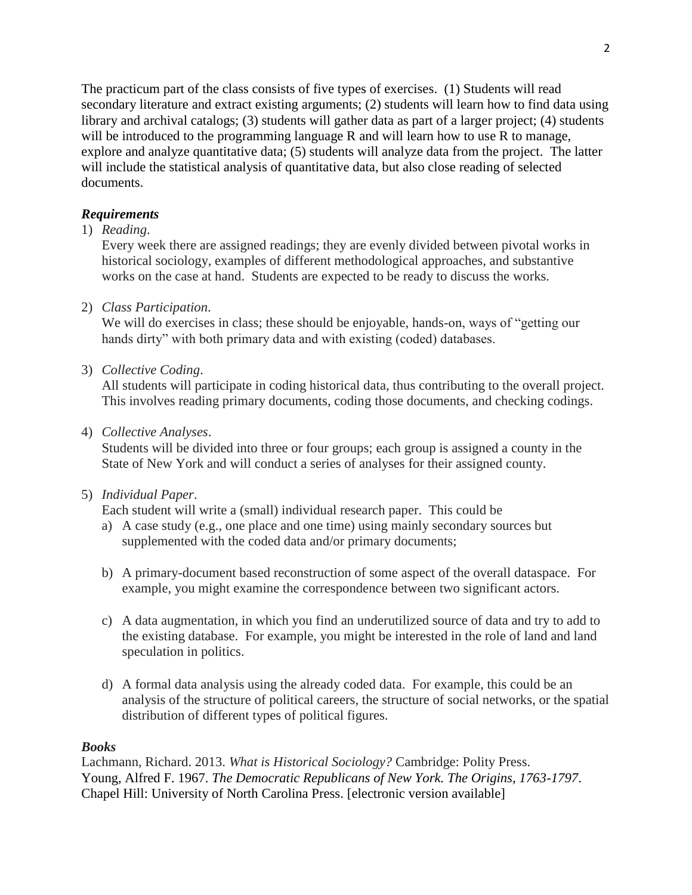The practicum part of the class consists of five types of exercises. (1) Students will read secondary literature and extract existing arguments; (2) students will learn how to find data using library and archival catalogs; (3) students will gather data as part of a larger project; (4) students will be introduced to the programming language R and will learn how to use R to manage, explore and analyze quantitative data; (5) students will analyze data from the project. The latter will include the statistical analysis of quantitative data, but also close reading of selected documents.

# *Requirements*

1) *Reading*.

Every week there are assigned readings; they are evenly divided between pivotal works in historical sociology, examples of different methodological approaches, and substantive works on the case at hand. Students are expected to be ready to discuss the works.

2) *Class Participation*.

We will do exercises in class; these should be enjoyable, hands-on, ways of "getting our hands dirty" with both primary data and with existing (coded) databases.

3) *Collective Coding*.

All students will participate in coding historical data, thus contributing to the overall project. This involves reading primary documents, coding those documents, and checking codings.

4) *Collective Analyses*.

Students will be divided into three or four groups; each group is assigned a county in the State of New York and will conduct a series of analyses for their assigned county.

5) *Individual Paper*.

Each student will write a (small) individual research paper. This could be

- a) A case study (e.g., one place and one time) using mainly secondary sources but supplemented with the coded data and/or primary documents;
- b) A primary-document based reconstruction of some aspect of the overall dataspace. For example, you might examine the correspondence between two significant actors.
- c) A data augmentation, in which you find an underutilized source of data and try to add to the existing database. For example, you might be interested in the role of land and land speculation in politics.
- d) A formal data analysis using the already coded data. For example, this could be an analysis of the structure of political careers, the structure of social networks, or the spatial distribution of different types of political figures.

## *Books*

Lachmann, Richard. 2013. *What is Historical Sociology?* Cambridge: Polity Press. Young, Alfred F. 1967. *The Democratic Republicans of New York. The Origins, 1763-1797*. Chapel Hill: University of North Carolina Press. [electronic version available]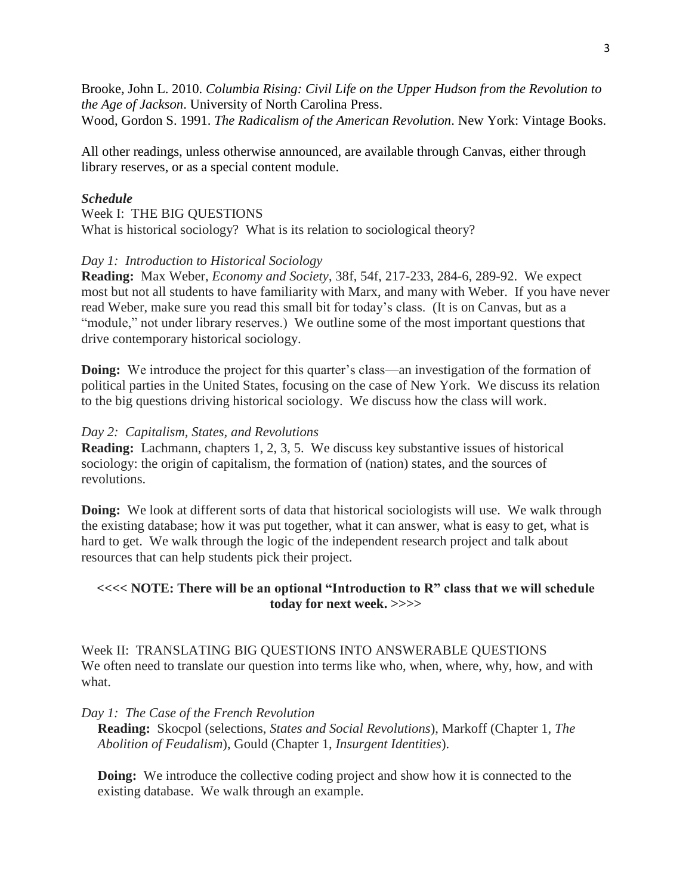Brooke, John L. 2010. *Columbia Rising: Civil Life on the Upper Hudson from the Revolution to the Age of Jackson*. University of North Carolina Press. Wood, Gordon S. 1991. *The Radicalism of the American Revolution*. New York: Vintage Books.

All other readings, unless otherwise announced, are available through Canvas, either through library reserves, or as a special content module.

### *Schedule*

Week I: THE BIG QUESTIONS What is historical sociology? What is its relation to sociological theory?

### *Day 1: Introduction to Historical Sociology*

**Reading:** Max Weber, *Economy and Society*, 38f, 54f, 217-233, 284-6, 289-92. We expect most but not all students to have familiarity with Marx, and many with Weber. If you have never read Weber, make sure you read this small bit for today's class. (It is on Canvas, but as a "module," not under library reserves.) We outline some of the most important questions that drive contemporary historical sociology.

**Doing:** We introduce the project for this quarter's class—an investigation of the formation of political parties in the United States, focusing on the case of New York. We discuss its relation to the big questions driving historical sociology. We discuss how the class will work.

#### *Day 2: Capitalism, States, and Revolutions*

**Reading:** Lachmann, chapters 1, 2, 3, 5. We discuss key substantive issues of historical sociology: the origin of capitalism, the formation of (nation) states, and the sources of revolutions.

**Doing:** We look at different sorts of data that historical sociologists will use. We walk through the existing database; how it was put together, what it can answer, what is easy to get, what is hard to get. We walk through the logic of the independent research project and talk about resources that can help students pick their project.

### **<<<< NOTE: There will be an optional "Introduction to R" class that we will schedule today for next week. >>>>**

Week II: TRANSLATING BIG QUESTIONS INTO ANSWERABLE QUESTIONS We often need to translate our question into terms like who, when, where, why, how, and with what.

#### *Day 1: The Case of the French Revolution*

**Reading:** Skocpol (selections, *States and Social Revolutions*), Markoff (Chapter 1, *The Abolition of Feudalism*), Gould (Chapter 1, *Insurgent Identities*).

**Doing:** We introduce the collective coding project and show how it is connected to the existing database. We walk through an example.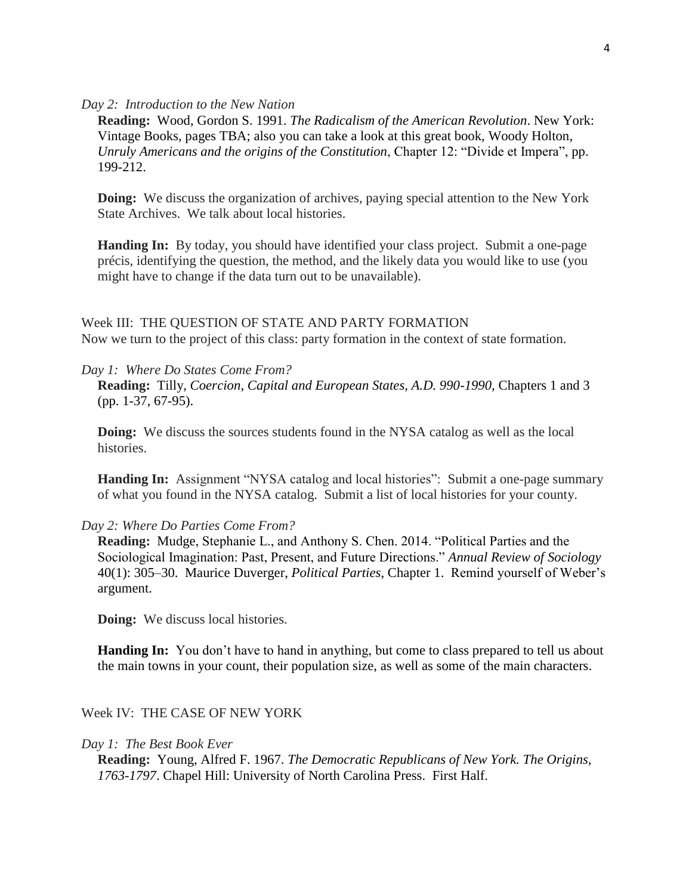### *Day 2: Introduction to the New Nation*

**Reading:** Wood, Gordon S. 1991. *The Radicalism of the American Revolution*. New York: Vintage Books, pages TBA; also you can take a look at this great book, Woody Holton, *Unruly Americans and the origins of the Constitution*, Chapter 12: "Divide et Impera", pp. 199-212.

**Doing:** We discuss the organization of archives, paying special attention to the New York State Archives. We talk about local histories.

**Handing In:** By today, you should have identified your class project. Submit a one-page précis, identifying the question, the method, and the likely data you would like to use (you might have to change if the data turn out to be unavailable).

Week III: THE QUESTION OF STATE AND PARTY FORMATION Now we turn to the project of this class: party formation in the context of state formation.

## *Day 1: Where Do States Come From?*

**Reading:** Tilly, *Coercion, Capital and European States, A.D. 990-1990*, Chapters 1 and 3 (pp. 1-37, 67-95).

**Doing:** We discuss the sources students found in the NYSA catalog as well as the local histories.

**Handing In:** Assignment "NYSA catalog and local histories": Submit a one-page summary of what you found in the NYSA catalog. Submit a list of local histories for your county.

#### *Day 2: Where Do Parties Come From?*

**Reading:** Mudge, Stephanie L., and Anthony S. Chen. 2014. "Political Parties and the Sociological Imagination: Past, Present, and Future Directions." *Annual Review of Sociology* 40(1): 305–30. Maurice Duverger, *Political Parties*, Chapter 1. Remind yourself of Weber's argument.

**Doing:** We discuss local histories.

**Handing In:** You don't have to hand in anything, but come to class prepared to tell us about the main towns in your count, their population size, as well as some of the main characters.

### Week IV: THE CASE OF NEW YORK

#### *Day 1: The Best Book Ever*

**Reading:** Young, Alfred F. 1967. *The Democratic Republicans of New York. The Origins, 1763-1797*. Chapel Hill: University of North Carolina Press. First Half.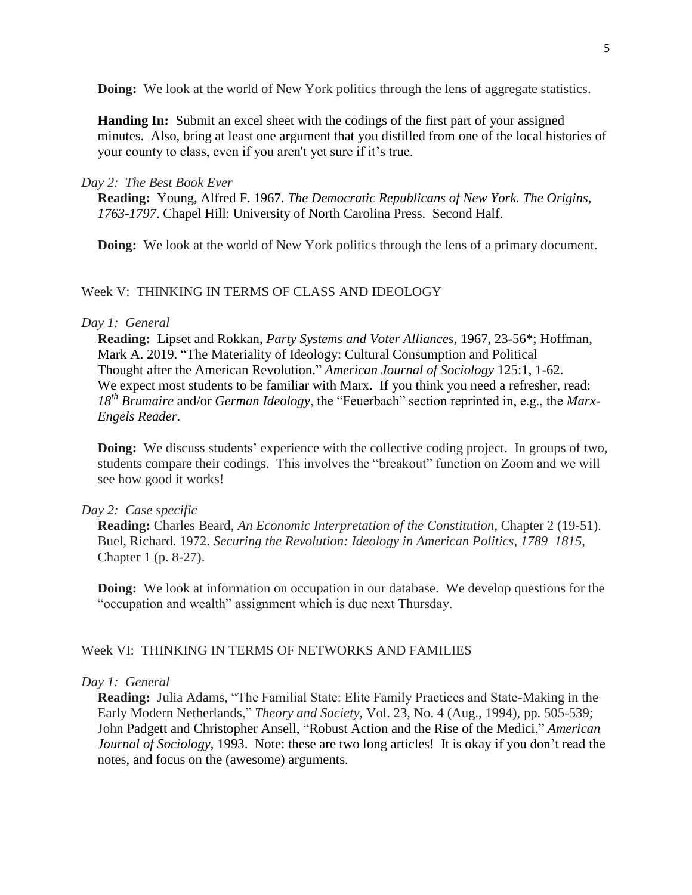**Doing:** We look at the world of New York politics through the lens of aggregate statistics.

**Handing In:** Submit an excel sheet with the codings of the first part of your assigned minutes. Also, bring at least one argument that you distilled from one of the local histories of your county to class, even if you aren't yet sure if it's true.

### *Day 2: The Best Book Ever*

**Reading:** Young, Alfred F. 1967. *The Democratic Republicans of New York. The Origins, 1763-1797*. Chapel Hill: University of North Carolina Press. Second Half.

**Doing:** We look at the world of New York politics through the lens of a primary document.

## Week V: THINKING IN TERMS OF CLASS AND IDEOLOGY

### *Day 1: General*

**Reading:** Lipset and Rokkan, *Party Systems and Voter Alliances*, 1967, 23-56\*; Hoffman, Mark A. 2019. "The Materiality of Ideology: Cultural Consumption and Political Thought after the American Revolution." *American Journal of Sociology* 125:1, 1-62. We expect most students to be familiar with Marx. If you think you need a refresher, read: *18th Brumaire* and/or *German Ideology*, the "Feuerbach" section reprinted in, e.g., the *Marx-Engels Reader*.

**Doing:** We discuss students' experience with the collective coding project. In groups of two, students compare their codings. This involves the "breakout" function on Zoom and we will see how good it works!

### *Day 2: Case specific*

**Reading:** Charles Beard, *An Economic Interpretation of the Constitution*, Chapter 2 (19-51). Buel, Richard. 1972. *Securing the Revolution: Ideology in American Politics, 1789–1815*, Chapter 1 (p. 8-27).

**Doing:** We look at information on occupation in our database. We develop questions for the "occupation and wealth" assignment which is due next Thursday.

## Week VI: THINKING IN TERMS OF NETWORKS AND FAMILIES

### *Day 1: General*

**Reading:** Julia Adams, "The Familial State: Elite Family Practices and State-Making in the Early Modern Netherlands," *Theory and Society*, Vol. 23, No. 4 (Aug., 1994), pp. 505-539; John Padgett and Christopher Ansell, "Robust Action and the Rise of the Medici," *American Journal of Sociology*, 1993. Note: these are two long articles! It is okay if you don't read the notes, and focus on the (awesome) arguments.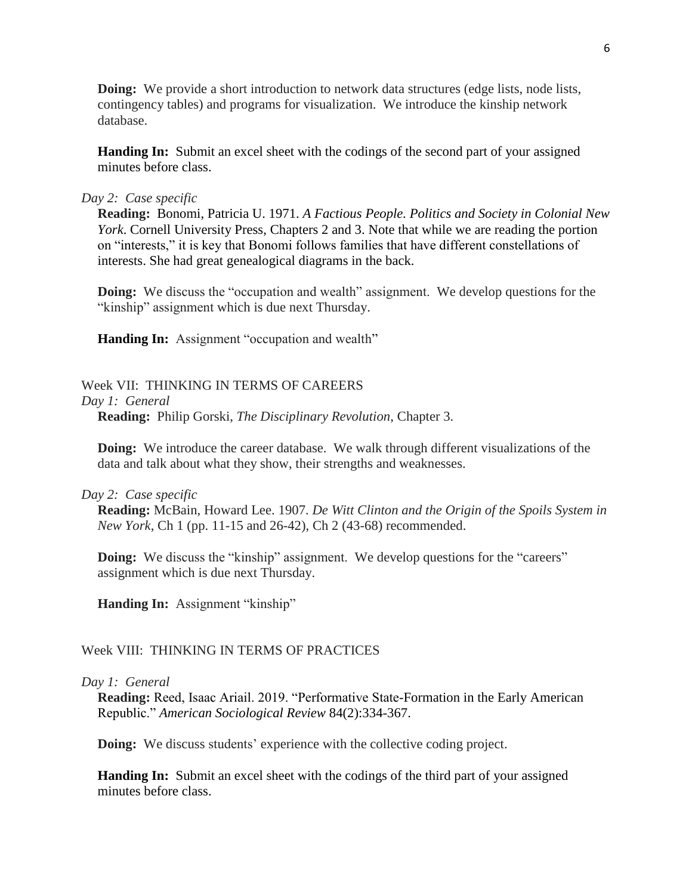**Doing:** We provide a short introduction to network data structures (edge lists, node lists, contingency tables) and programs for visualization. We introduce the kinship network database.

**Handing In:** Submit an excel sheet with the codings of the second part of your assigned minutes before class.

### *Day 2: Case specific*

**Reading:** Bonomi, Patricia U. 1971. *A Factious People. Politics and Society in Colonial New York*. Cornell University Press, Chapters 2 and 3. Note that while we are reading the portion on "interests," it is key that Bonomi follows families that have different constellations of interests. She had great genealogical diagrams in the back.

**Doing:** We discuss the "occupation and wealth" assignment. We develop questions for the "kinship" assignment which is due next Thursday.

**Handing In:** Assignment "occupation and wealth"

### Week VII: THINKING IN TERMS OF CAREERS

*Day 1: General*

**Reading:** Philip Gorski, *The Disciplinary Revolution*, Chapter 3.

**Doing:** We introduce the career database. We walk through different visualizations of the data and talk about what they show, their strengths and weaknesses.

#### *Day 2: Case specific*

**Reading:** McBain, Howard Lee. 1907. *De Witt Clinton and the Origin of the Spoils System in New York*, Ch 1 (pp. 11-15 and 26-42), Ch 2 (43-68) recommended.

**Doing:** We discuss the "kinship" assignment. We develop questions for the "careers" assignment which is due next Thursday.

**Handing In:** Assignment "kinship"

### Week VIII: THINKING IN TERMS OF PRACTICES

### *Day 1: General*

**Reading:** Reed, Isaac Ariail. 2019. "Performative State-Formation in the Early American Republic." *American Sociological Review* 84(2):334-367.

**Doing:** We discuss students' experience with the collective coding project.

**Handing In:** Submit an excel sheet with the codings of the third part of your assigned minutes before class.